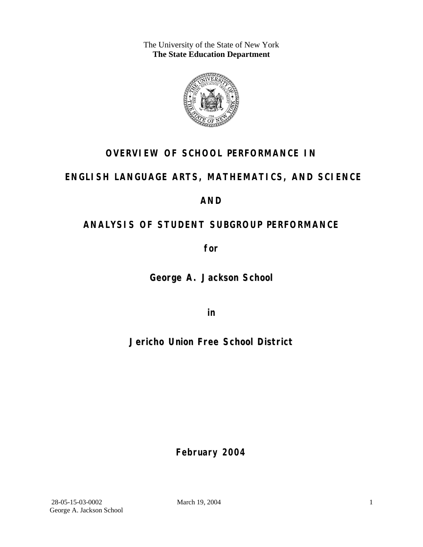The University of the State of New York **The State Education Department** 



## **OVERVIEW OF SCHOOL PERFORMANCE IN**

### **ENGLISH LANGUAGE ARTS, MATHEMATICS, AND SCIENCE**

### **AND**

## **ANALYSIS OF STUDENT SUBGROUP PERFORMANCE**

**for** 

**George A. Jackson School**

**in** 

**Jericho Union Free School District**

**February 2004**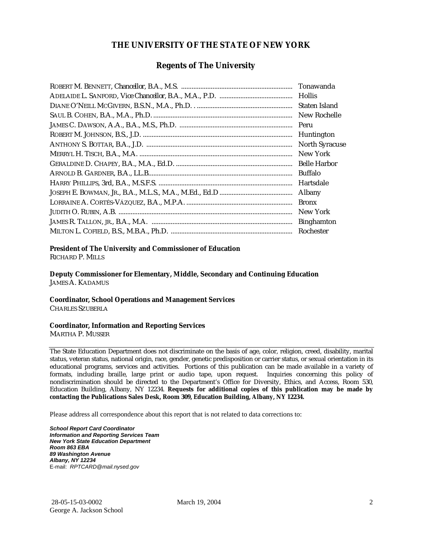#### **THE UNIVERSITY OF THE STATE OF NEW YORK**

#### **Regents of The University**

| Tonawanda             |
|-----------------------|
| <b>Hollis</b>         |
| Staten Island         |
| New Rochelle          |
| Peru                  |
| Huntington            |
| <b>North Syracuse</b> |
| New York              |
| <b>Belle Harbor</b>   |
| <b>Buffalo</b>        |
| Hartsdale             |
| Albany                |
| <b>Bronx</b>          |
| New York              |
| <b>Binghamton</b>     |
| Rochester             |

#### **President of The University and Commissioner of Education**

RICHARD P. MILLS

**Deputy Commissioner for Elementary, Middle, Secondary and Continuing Education**  JAMES A. KADAMUS

#### **Coordinator, School Operations and Management Services**

CHARLES SZUBERLA

#### **Coordinator, Information and Reporting Services**

MARTHA P. MUSSER

The State Education Department does not discriminate on the basis of age, color, religion, creed, disability, marital status, veteran status, national origin, race, gender, genetic predisposition or carrier status, or sexual orientation in its educational programs, services and activities. Portions of this publication can be made available in a variety of formats, including braille, large print or audio tape, upon request. Inquiries concerning this policy of nondiscrimination should be directed to the Department's Office for Diversity, Ethics, and Access, Room 530, Education Building, Albany, NY 12234. **Requests for additional copies of this publication may be made by contacting the Publications Sales Desk, Room 309, Education Building, Albany, NY 12234.** 

Please address all correspondence about this report that is not related to data corrections to:

*School Report Card Coordinator Information and Reporting Services Team New York State Education Department Room 863 EBA 89 Washington Avenue Albany, NY 12234*  E-mail: *RPTCARD@mail.nysed.gov*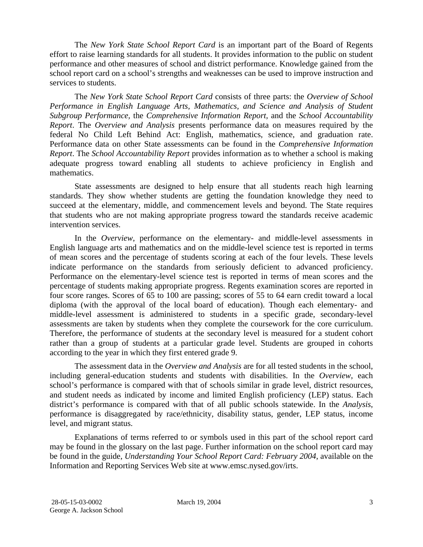The *New York State School Report Card* is an important part of the Board of Regents effort to raise learning standards for all students. It provides information to the public on student performance and other measures of school and district performance. Knowledge gained from the school report card on a school's strengths and weaknesses can be used to improve instruction and services to students.

The *New York State School Report Card* consists of three parts: the *Overview of School Performance in English Language Arts, Mathematics, and Science and Analysis of Student Subgroup Performance,* the *Comprehensive Information Report,* and the *School Accountability Report*. The *Overview and Analysis* presents performance data on measures required by the federal No Child Left Behind Act: English, mathematics, science, and graduation rate. Performance data on other State assessments can be found in the *Comprehensive Information Report*. The *School Accountability Report* provides information as to whether a school is making adequate progress toward enabling all students to achieve proficiency in English and mathematics.

State assessments are designed to help ensure that all students reach high learning standards. They show whether students are getting the foundation knowledge they need to succeed at the elementary, middle, and commencement levels and beyond. The State requires that students who are not making appropriate progress toward the standards receive academic intervention services.

In the *Overview*, performance on the elementary- and middle-level assessments in English language arts and mathematics and on the middle-level science test is reported in terms of mean scores and the percentage of students scoring at each of the four levels. These levels indicate performance on the standards from seriously deficient to advanced proficiency. Performance on the elementary-level science test is reported in terms of mean scores and the percentage of students making appropriate progress. Regents examination scores are reported in four score ranges. Scores of 65 to 100 are passing; scores of 55 to 64 earn credit toward a local diploma (with the approval of the local board of education). Though each elementary- and middle-level assessment is administered to students in a specific grade, secondary-level assessments are taken by students when they complete the coursework for the core curriculum. Therefore, the performance of students at the secondary level is measured for a student cohort rather than a group of students at a particular grade level. Students are grouped in cohorts according to the year in which they first entered grade 9.

The assessment data in the *Overview and Analysis* are for all tested students in the school, including general-education students and students with disabilities. In the *Overview*, each school's performance is compared with that of schools similar in grade level, district resources, and student needs as indicated by income and limited English proficiency (LEP) status. Each district's performance is compared with that of all public schools statewide. In the *Analysis*, performance is disaggregated by race/ethnicity, disability status, gender, LEP status, income level, and migrant status.

Explanations of terms referred to or symbols used in this part of the school report card may be found in the glossary on the last page. Further information on the school report card may be found in the guide, *Understanding Your School Report Card: February 2004*, available on the Information and Reporting Services Web site at www.emsc.nysed.gov/irts.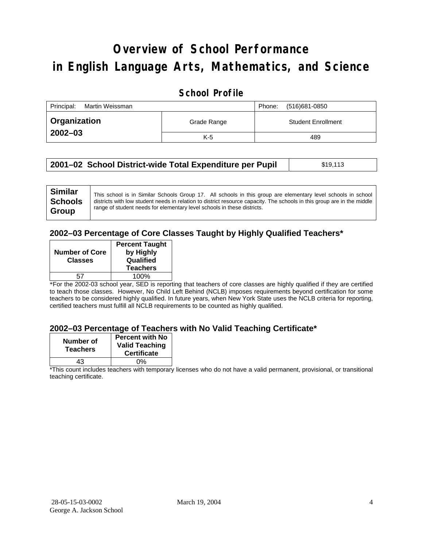# **Overview of School Performance in English Language Arts, Mathematics, and Science**

### **School Profile**

| Principal:<br>Martin Weissman |             | (516)681-0850<br>Phone:   |
|-------------------------------|-------------|---------------------------|
| <b>Organization</b>           | Grade Range | <b>Student Enrollment</b> |
| $2002 - 03$                   | $K-5$       | 489                       |

|  | 2001–02 School District-wide Total Expenditure per Pupil | \$19,113 |
|--|----------------------------------------------------------|----------|
|--|----------------------------------------------------------|----------|

### **2002–03 Percentage of Core Classes Taught by Highly Qualified Teachers\***

| <b>Number of Core</b><br><b>Classes</b> | <b>Percent Taught</b><br>by Highly<br>Qualified |
|-----------------------------------------|-------------------------------------------------|
|                                         | <b>Teachers</b>                                 |
|                                         | 100%                                            |
|                                         |                                                 |

\*For the 2002-03 school year, SED is reporting that teachers of core classes are highly qualified if they are certified to teach those classes. However, No Child Left Behind (NCLB) imposes requirements beyond certification for some teachers to be considered highly qualified. In future years, when New York State uses the NCLB criteria for reporting, certified teachers must fulfill all NCLB requirements to be counted as highly qualified.

#### **2002–03 Percentage of Teachers with No Valid Teaching Certificate\***

| Number of<br><b>Teachers</b> | <b>Percent with No</b><br><b>Valid Teaching</b><br><b>Certificate</b> |
|------------------------------|-----------------------------------------------------------------------|
| 43                           | ሰ%                                                                    |

\*This count includes teachers with temporary licenses who do not have a valid permanent, provisional, or transitional teaching certificate.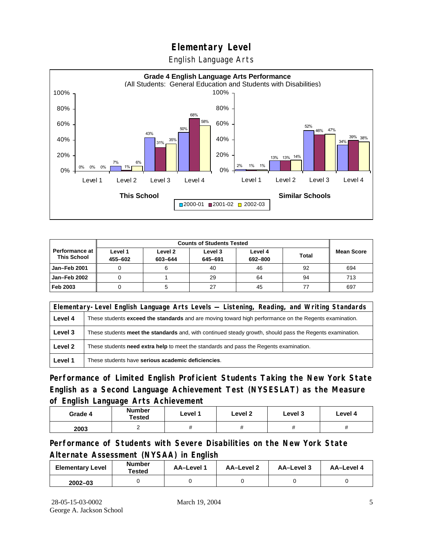English Language Arts



|                                        |                    | <b>Counts of Students Tested</b> |                    |                    |              |                   |  |
|----------------------------------------|--------------------|----------------------------------|--------------------|--------------------|--------------|-------------------|--|
| Performance at I<br><b>This School</b> | Level 1<br>455-602 | Level 2<br>603-644               | Level 3<br>645-691 | Level 4<br>692-800 | <b>Total</b> | <b>Mean Score</b> |  |
| Jan-Feb 2001                           |                    |                                  | 40                 | 46                 | 92           | 694               |  |
| Jan-Feb 2002                           |                    |                                  | 29                 | 64                 | 94           | 713               |  |
| Feb 2003                               |                    |                                  | 27                 | 45                 |              | 697               |  |

|         | Elementary-Level English Language Arts Levels — Listening, Reading, and Writing Standards                 |  |  |  |  |
|---------|-----------------------------------------------------------------------------------------------------------|--|--|--|--|
| Level 4 | These students exceed the standards and are moving toward high performance on the Regents examination.    |  |  |  |  |
| Level 3 | These students meet the standards and, with continued steady growth, should pass the Regents examination. |  |  |  |  |
| Level 2 | These students <b>need extra help</b> to meet the standards and pass the Regents examination.             |  |  |  |  |
| Level 1 | These students have serious academic deficiencies.                                                        |  |  |  |  |

**Performance of Limited English Proficient Students Taking the New York State English as a Second Language Achievement Test (NYSESLAT) as the Measure of English Language Arts Achievement**

| Grade 4 | <b>Number</b><br>Tested | Level 1 | Level 2 | Level 3  | Level 4  |
|---------|-------------------------|---------|---------|----------|----------|
| 2003    | <u>_</u>                | #       | π       | $^{\pi}$ | $^{\pi}$ |

**Performance of Students with Severe Disabilities on the New York State Alternate Assessment (NYSAA) in English** 

| <b>Elementary Level</b> | <b>Number</b><br>Tested | AA-Level 1 | AA-Level 2 | AA-Level 3 | AA-Level 4 |
|-------------------------|-------------------------|------------|------------|------------|------------|
| $2002 - 03$             |                         |            |            |            |            |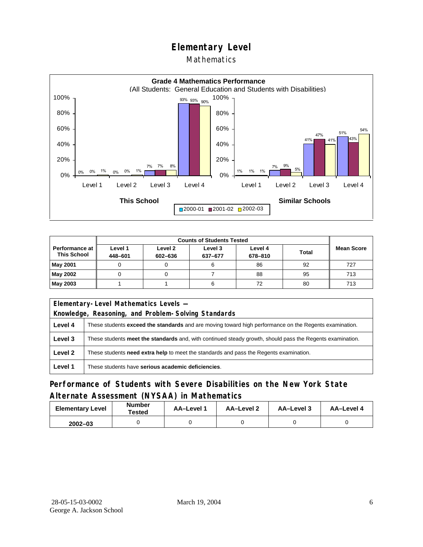### Mathematics



|                                             |                    | <b>Counts of Students Tested</b> |                    |                    |              |                   |  |
|---------------------------------------------|--------------------|----------------------------------|--------------------|--------------------|--------------|-------------------|--|
| <b>Performance at</b><br><b>This School</b> | Level 1<br>448-601 | Level 2<br>602-636               | Level 3<br>637-677 | Level 4<br>678-810 | <b>Total</b> | <b>Mean Score</b> |  |
| <b>May 2001</b>                             |                    |                                  |                    | 86                 | 92           | 727               |  |
| May 2002                                    |                    |                                  |                    | 88                 | 95           | 713               |  |
| May 2003                                    |                    |                                  |                    | 72                 | 80           | 713               |  |

|         | Elementary-Level Mathematics Levels -                                                                         |  |  |  |
|---------|---------------------------------------------------------------------------------------------------------------|--|--|--|
|         | Knowledge, Reasoning, and Problem-Solving Standards                                                           |  |  |  |
| Level 4 | These students <b>exceed the standards</b> and are moving toward high performance on the Regents examination. |  |  |  |
| Level 3 | These students meet the standards and, with continued steady growth, should pass the Regents examination.     |  |  |  |
| Level 2 | These students <b>need extra help</b> to meet the standards and pass the Regents examination.                 |  |  |  |
| Level 1 | These students have serious academic deficiencies.                                                            |  |  |  |

### **Performance of Students with Severe Disabilities on the New York State Alternate Assessment (NYSAA) in Mathematics**

| <b>Elementary Level</b> | <b>Number</b><br>Tested | <b>AA-Level 1</b> | AA-Level 2 | AA-Level 3 | AA-Level 4 |  |
|-------------------------|-------------------------|-------------------|------------|------------|------------|--|
| $2002 - 03$             |                         |                   |            |            |            |  |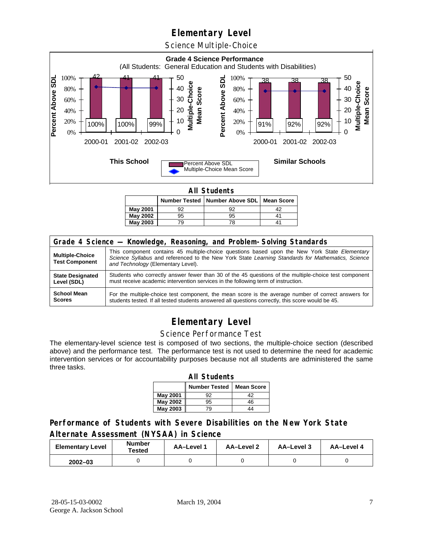Science Multiple-Choice



**All Students** 

|          |    | Number Tested   Number Above SDL   Mean Score |  |
|----------|----|-----------------------------------------------|--|
| May 2001 | 92 |                                               |  |
| May 2002 | 95 | 95                                            |  |
| May 2003 |    |                                               |  |

| Grade 4 Science - Knowledge, Reasoning, and Problem-Solving Standards |                                                                                                                                                                                                                                          |  |  |  |  |  |
|-----------------------------------------------------------------------|------------------------------------------------------------------------------------------------------------------------------------------------------------------------------------------------------------------------------------------|--|--|--|--|--|
| <b>Multiple-Choice</b><br><b>Test Component</b>                       | This component contains 45 multiple-choice questions based upon the New York State Elementary<br>Science Syllabus and referenced to the New York State Learning Standards for Mathematics, Science<br>and Technology (Elementary Level). |  |  |  |  |  |
| <b>State Designated</b>                                               | Students who correctly answer fewer than 30 of the 45 questions of the multiple-choice test component                                                                                                                                    |  |  |  |  |  |
| Level (SDL)                                                           | must receive academic intervention services in the following term of instruction.                                                                                                                                                        |  |  |  |  |  |
| <b>School Mean</b>                                                    | For the multiple-choice test component, the mean score is the average number of correct answers for                                                                                                                                      |  |  |  |  |  |
| <b>Scores</b>                                                         | students tested. If all tested students answered all questions correctly, this score would be 45.                                                                                                                                        |  |  |  |  |  |

## **Elementary Level**

#### Science Performance Test

The elementary-level science test is composed of two sections, the multiple-choice section (described above) and the performance test. The performance test is not used to determine the need for academic intervention services or for accountability purposes because not all students are administered the same three tasks.

| <b>All Students</b>                       |    |    |  |  |  |  |  |  |  |
|-------------------------------------------|----|----|--|--|--|--|--|--|--|
| <b>Number Tested</b><br><b>Mean Score</b> |    |    |  |  |  |  |  |  |  |
| May 2001                                  | 92 | 42 |  |  |  |  |  |  |  |
| <b>May 2002</b>                           | 95 | 46 |  |  |  |  |  |  |  |
| <b>May 2003</b>                           | 'q |    |  |  |  |  |  |  |  |

### **Performance of Students with Severe Disabilities on the New York State Alternate Assessment (NYSAA) in Science**

| <b>Elementary Level</b> | <b>Number</b><br>Tested | AA-Level 1 | <b>AA-Level 2</b> | AA-Level 3 | AA-Level 4 |  |
|-------------------------|-------------------------|------------|-------------------|------------|------------|--|
| $2002 - 03$             |                         |            |                   |            |            |  |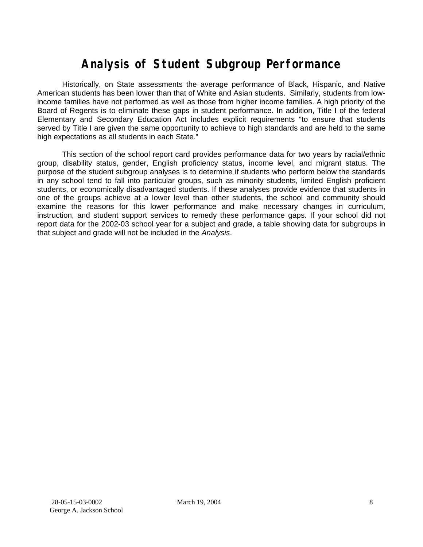# **Analysis of Student Subgroup Performance**

Historically, on State assessments the average performance of Black, Hispanic, and Native American students has been lower than that of White and Asian students. Similarly, students from lowincome families have not performed as well as those from higher income families. A high priority of the Board of Regents is to eliminate these gaps in student performance. In addition, Title I of the federal Elementary and Secondary Education Act includes explicit requirements "to ensure that students served by Title I are given the same opportunity to achieve to high standards and are held to the same high expectations as all students in each State."

This section of the school report card provides performance data for two years by racial/ethnic group, disability status, gender, English proficiency status, income level, and migrant status. The purpose of the student subgroup analyses is to determine if students who perform below the standards in any school tend to fall into particular groups, such as minority students, limited English proficient students, or economically disadvantaged students. If these analyses provide evidence that students in one of the groups achieve at a lower level than other students, the school and community should examine the reasons for this lower performance and make necessary changes in curriculum, instruction, and student support services to remedy these performance gaps. If your school did not report data for the 2002-03 school year for a subject and grade, a table showing data for subgroups in that subject and grade will not be included in the *Analysis*.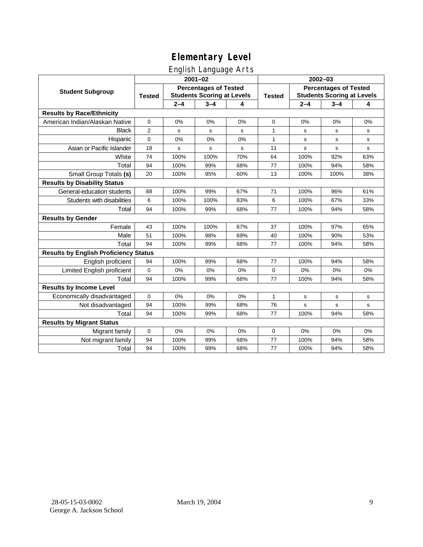### English Language Arts

|                                              | ັ<br>$2001 - 02$                                                                   |         |             |               | $2002 - 03$                                                       |         |         |     |
|----------------------------------------------|------------------------------------------------------------------------------------|---------|-------------|---------------|-------------------------------------------------------------------|---------|---------|-----|
| <b>Student Subgroup</b>                      | <b>Percentages of Tested</b><br><b>Students Scoring at Levels</b><br><b>Tested</b> |         |             | <b>Tested</b> | <b>Percentages of Tested</b><br><b>Students Scoring at Levels</b> |         |         |     |
|                                              |                                                                                    | $2 - 4$ | $3 - 4$     | 4             |                                                                   | $2 - 4$ | $3 - 4$ | 4   |
| <b>Results by Race/Ethnicity</b>             |                                                                                    |         |             |               |                                                                   |         |         |     |
| American Indian/Alaskan Native               | 0                                                                                  | 0%      | 0%          | 0%            | $\mathbf 0$                                                       | 0%      | 0%      | 0%  |
| <b>Black</b>                                 | $\overline{2}$                                                                     | s       | $\mathbf s$ | s             | 1                                                                 | s       | s       | s   |
| Hispanic                                     | 0                                                                                  | 0%      | 0%          | 0%            | 1                                                                 | s       | s       | s   |
| Asian or Pacific Islander                    | 18                                                                                 | s       | s           | s             | 11                                                                | s       | s       | s   |
| White                                        | 74                                                                                 | 100%    | 100%        | 70%           | 64                                                                | 100%    | 92%     | 63% |
| Total                                        | 94                                                                                 | 100%    | 99%         | 68%           | 77                                                                | 100%    | 94%     | 58% |
| Small Group Totals (s)                       | 20                                                                                 | 100%    | 95%         | 60%           | 13                                                                | 100%    | 100%    | 38% |
| <b>Results by Disability Status</b>          |                                                                                    |         |             |               |                                                                   |         |         |     |
| General-education students                   | 88                                                                                 | 100%    | 99%         | 67%           | 71                                                                | 100%    | 96%     | 61% |
| Students with disabilities                   | 6                                                                                  | 100%    | 100%        | 83%           | 6                                                                 | 100%    | 67%     | 33% |
| Total                                        | 94                                                                                 | 100%    | 99%         | 68%           | 77                                                                | 100%    | 94%     | 58% |
| <b>Results by Gender</b>                     |                                                                                    |         |             |               |                                                                   |         |         |     |
| Female                                       | 43                                                                                 | 100%    | 100%        | 67%           | 37                                                                | 100%    | 97%     | 65% |
| Male                                         | 51                                                                                 | 100%    | 98%         | 69%           | 40                                                                | 100%    | 90%     | 53% |
| Total                                        | 94                                                                                 | 100%    | 99%         | 68%           | 77                                                                | 100%    | 94%     | 58% |
| <b>Results by English Proficiency Status</b> |                                                                                    |         |             |               |                                                                   |         |         |     |
| English proficient                           | 94                                                                                 | 100%    | 99%         | 68%           | 77                                                                | 100%    | 94%     | 58% |
| Limited English proficient                   | 0                                                                                  | 0%      | 0%          | 0%            | $\mathbf 0$                                                       | 0%      | 0%      | 0%  |
| Total                                        | 94                                                                                 | 100%    | 99%         | 68%           | 77                                                                | 100%    | 94%     | 58% |
| <b>Results by Income Level</b>               |                                                                                    |         |             |               |                                                                   |         |         |     |
| Economically disadvantaged                   | $\Omega$                                                                           | 0%      | 0%          | 0%            | 1                                                                 | s       | s       | s   |
| Not disadvantaged                            | 94                                                                                 | 100%    | 99%         | 68%           | 76                                                                | s       | s       | s   |
| Total                                        | 94                                                                                 | 100%    | 99%         | 68%           | 77                                                                | 100%    | 94%     | 58% |
| <b>Results by Migrant Status</b>             |                                                                                    |         |             |               |                                                                   |         |         |     |
| Migrant family                               | 0                                                                                  | 0%      | 0%          | 0%            | $\mathbf 0$                                                       | 0%      | 0%      | 0%  |
| Not migrant family                           | 94                                                                                 | 100%    | 99%         | 68%           | 77                                                                | 100%    | 94%     | 58% |
| Total                                        | 94                                                                                 | 100%    | 99%         | 68%           | 77                                                                | 100%    | 94%     | 58% |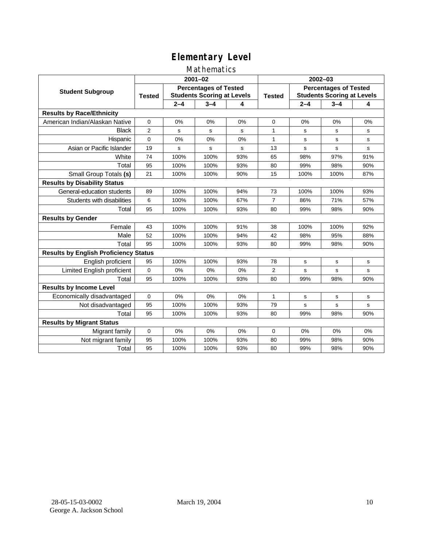### Mathematics

|                                              | $2001 - 02$                                                                        |         |         |               | $2002 - 03$                                                       |         |         |     |
|----------------------------------------------|------------------------------------------------------------------------------------|---------|---------|---------------|-------------------------------------------------------------------|---------|---------|-----|
| <b>Student Subgroup</b>                      | <b>Percentages of Tested</b><br><b>Students Scoring at Levels</b><br><b>Tested</b> |         |         | <b>Tested</b> | <b>Percentages of Tested</b><br><b>Students Scoring at Levels</b> |         |         |     |
|                                              |                                                                                    | $2 - 4$ | $3 - 4$ | 4             |                                                                   | $2 - 4$ | $3 - 4$ | 4   |
| <b>Results by Race/Ethnicity</b>             |                                                                                    |         |         |               |                                                                   |         |         |     |
| American Indian/Alaskan Native               | $\mathbf 0$                                                                        | 0%      | 0%      | 0%            | $\Omega$                                                          | 0%      | 0%      | 0%  |
| <b>Black</b>                                 | 2                                                                                  | s       | s       | s             | 1                                                                 | s       | s       | s   |
| Hispanic                                     | $\Omega$                                                                           | 0%      | 0%      | 0%            | $\mathbf{1}$                                                      | s       | s       | s   |
| Asian or Pacific Islander                    | 19                                                                                 | s       | s       | s             | 13                                                                | s       | s       | s   |
| White                                        | 74                                                                                 | 100%    | 100%    | 93%           | 65                                                                | 98%     | 97%     | 91% |
| Total                                        | 95                                                                                 | 100%    | 100%    | 93%           | 80                                                                | 99%     | 98%     | 90% |
| Small Group Totals (s)                       | 21                                                                                 | 100%    | 100%    | 90%           | 15                                                                | 100%    | 100%    | 87% |
| <b>Results by Disability Status</b>          |                                                                                    |         |         |               |                                                                   |         |         |     |
| General-education students                   | 89                                                                                 | 100%    | 100%    | 94%           | 73                                                                | 100%    | 100%    | 93% |
| Students with disabilities                   | 6                                                                                  | 100%    | 100%    | 67%           | $\overline{7}$                                                    | 86%     | 71%     | 57% |
| Total                                        | 95                                                                                 | 100%    | 100%    | 93%           | 80                                                                | 99%     | 98%     | 90% |
| <b>Results by Gender</b>                     |                                                                                    |         |         |               |                                                                   |         |         |     |
| Female                                       | 43                                                                                 | 100%    | 100%    | 91%           | 38                                                                | 100%    | 100%    | 92% |
| Male                                         | 52                                                                                 | 100%    | 100%    | 94%           | 42                                                                | 98%     | 95%     | 88% |
| Total                                        | 95                                                                                 | 100%    | 100%    | 93%           | 80                                                                | 99%     | 98%     | 90% |
| <b>Results by English Proficiency Status</b> |                                                                                    |         |         |               |                                                                   |         |         |     |
| English proficient                           | 95                                                                                 | 100%    | 100%    | 93%           | 78                                                                | s       | s       | s   |
| Limited English proficient                   | $\mathbf 0$                                                                        | 0%      | 0%      | 0%            | $\overline{2}$                                                    | S       | s       | s   |
| Total                                        | 95                                                                                 | 100%    | 100%    | 93%           | 80                                                                | 99%     | 98%     | 90% |
| <b>Results by Income Level</b>               |                                                                                    |         |         |               |                                                                   |         |         |     |
| Economically disadvantaged                   | $\mathbf 0$                                                                        | 0%      | 0%      | 0%            | $\mathbf{1}$                                                      | s       | s       | s   |
| Not disadvantaged                            | 95                                                                                 | 100%    | 100%    | 93%           | 79                                                                | s       | s       | s   |
| Total                                        | 95                                                                                 | 100%    | 100%    | 93%           | 80                                                                | 99%     | 98%     | 90% |
| <b>Results by Migrant Status</b>             |                                                                                    |         |         |               |                                                                   |         |         |     |
| Migrant family                               | 0                                                                                  | 0%      | 0%      | 0%            | 0                                                                 | 0%      | 0%      | 0%  |
| Not migrant family                           | 95                                                                                 | 100%    | 100%    | 93%           | 80                                                                | 99%     | 98%     | 90% |
| Total                                        | 95                                                                                 | 100%    | 100%    | 93%           | 80                                                                | 99%     | 98%     | 90% |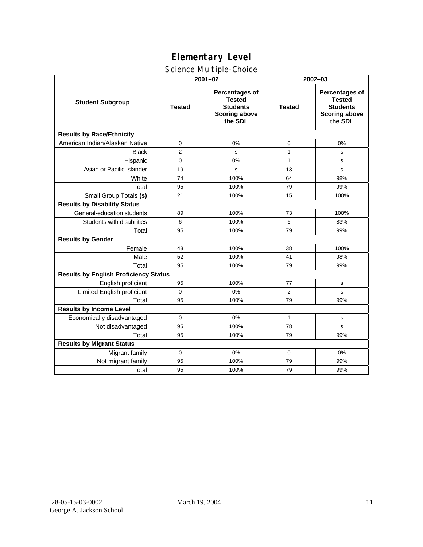### Science Multiple-Choice

|                                              | $2001 - 02$    |                                                                                              | 2002-03        |                                                                                              |  |  |  |
|----------------------------------------------|----------------|----------------------------------------------------------------------------------------------|----------------|----------------------------------------------------------------------------------------------|--|--|--|
| <b>Student Subgroup</b>                      | <b>Tested</b>  | <b>Percentages of</b><br><b>Tested</b><br><b>Students</b><br><b>Scoring above</b><br>the SDL | <b>Tested</b>  | <b>Percentages of</b><br><b>Tested</b><br><b>Students</b><br><b>Scoring above</b><br>the SDL |  |  |  |
| <b>Results by Race/Ethnicity</b>             |                |                                                                                              |                |                                                                                              |  |  |  |
| American Indian/Alaskan Native               | 0              | 0%                                                                                           | 0              | 0%                                                                                           |  |  |  |
| <b>Black</b>                                 | $\overline{2}$ | s                                                                                            | $\mathbf{1}$   | ${\tt s}$                                                                                    |  |  |  |
| Hispanic                                     | 0              | 0%                                                                                           | $\mathbf{1}$   | s                                                                                            |  |  |  |
| Asian or Pacific Islander                    | 19             | s                                                                                            | 13             | s                                                                                            |  |  |  |
| White                                        | 74             | 100%                                                                                         | 64             | 98%                                                                                          |  |  |  |
| Total                                        | 95             | 100%                                                                                         | 79             | 99%                                                                                          |  |  |  |
| Small Group Totals (s)                       | 21             | 100%                                                                                         | 15             | 100%                                                                                         |  |  |  |
| <b>Results by Disability Status</b>          |                |                                                                                              |                |                                                                                              |  |  |  |
| General-education students                   | 89             | 100%                                                                                         | 73             | 100%                                                                                         |  |  |  |
| Students with disabilities                   | 6              | 100%                                                                                         | 6              | 83%                                                                                          |  |  |  |
| Total                                        | 95             | 100%                                                                                         | 79             | 99%                                                                                          |  |  |  |
| <b>Results by Gender</b>                     |                |                                                                                              |                |                                                                                              |  |  |  |
| Female                                       | 43             | 100%                                                                                         | 38             | 100%                                                                                         |  |  |  |
| Male                                         | 52             | 100%                                                                                         | 41             | 98%                                                                                          |  |  |  |
| Total                                        | 95             | 100%                                                                                         | 79             | 99%                                                                                          |  |  |  |
| <b>Results by English Proficiency Status</b> |                |                                                                                              |                |                                                                                              |  |  |  |
| English proficient                           | 95             | 100%                                                                                         | 77             | s                                                                                            |  |  |  |
| Limited English proficient                   | $\Omega$       | 0%                                                                                           | $\overline{2}$ | s                                                                                            |  |  |  |
| Total                                        | 95             | 100%                                                                                         | 79             | 99%                                                                                          |  |  |  |
| <b>Results by Income Level</b>               |                |                                                                                              |                |                                                                                              |  |  |  |
| Economically disadvantaged                   | $\Omega$       | 0%                                                                                           | $\mathbf{1}$   | s                                                                                            |  |  |  |
| Not disadvantaged                            | 95             | 100%                                                                                         | 78             | s                                                                                            |  |  |  |
| Total                                        | 95             | 100%                                                                                         | 79             | 99%                                                                                          |  |  |  |
| <b>Results by Migrant Status</b>             |                |                                                                                              |                |                                                                                              |  |  |  |
| Migrant family                               | 0              | 0%                                                                                           | 0              | 0%                                                                                           |  |  |  |
| Not migrant family                           | 95             | 100%                                                                                         | 79             | 99%                                                                                          |  |  |  |
| Total                                        | 95             | 100%                                                                                         | 79             | 99%                                                                                          |  |  |  |